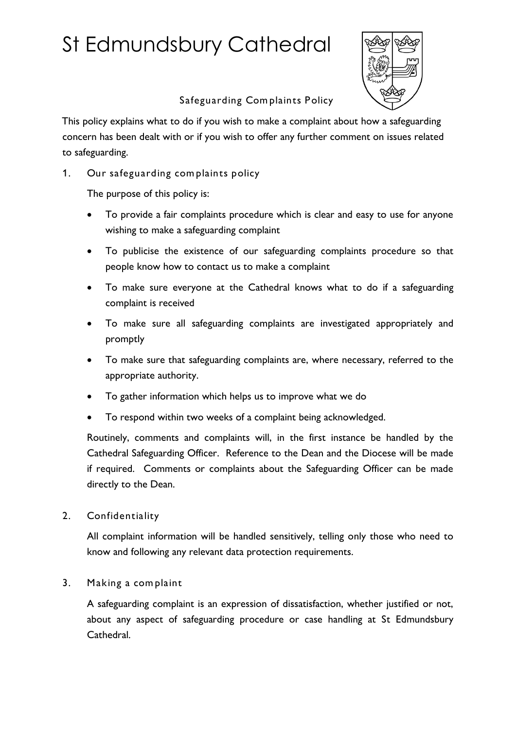# St Edmundsbury Cathedral



## Safeguarding Com plaints Policy

This policy explains what to do if you wish to make a complaint about how a safeguarding concern has been dealt with or if you wish to offer any further comment on issues related to safeguarding.

1. Our safeguarding com plaints policy

The purpose of this policy is:

- To provide a fair complaints procedure which is clear and easy to use for anyone wishing to make a safeguarding complaint
- To publicise the existence of our safeguarding complaints procedure so that people know how to contact us to make a complaint
- To make sure everyone at the Cathedral knows what to do if a safeguarding complaint is received
- To make sure all safeguarding complaints are investigated appropriately and promptly
- To make sure that safeguarding complaints are, where necessary, referred to the appropriate authority.
- To gather information which helps us to improve what we do
- To respond within two weeks of a complaint being acknowledged.

Routinely, comments and complaints will, in the first instance be handled by the Cathedral Safeguarding Officer. Reference to the Dean and the Diocese will be made if required. Comments or complaints about the Safeguarding Officer can be made directly to the Dean.

## 2. Confidentiality

All complaint information will be handled sensitively, telling only those who need to know and following any relevant data protection requirements.

## 3. Making a com plaint

A safeguarding complaint is an expression of dissatisfaction, whether justified or not, about any aspect of safeguarding procedure or case handling at St Edmundsbury Cathedral.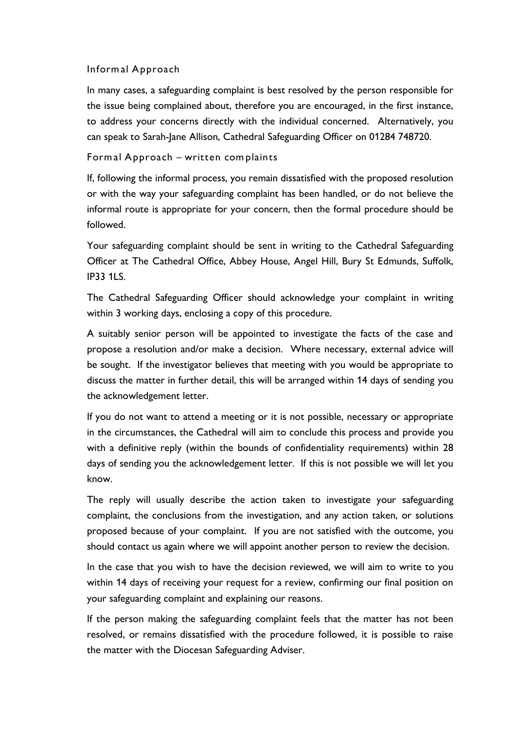#### Inform al Approach

In many cases, a safeguarding complaint is best resolved by the person responsible for the issue being complained about, therefore you are encouraged, in the first instance, to address your concerns directly with the individual concerned. Alternatively, you can speak to Sarah-Jane Allison, Cathedral Safeguarding Officer on 01284 748720.

#### Form al Approach – written com plaints

If, following the informal process, you remain dissatisfied with the proposed resolution or with the way your safeguarding complaint has been handled, or do not believe the informal route is appropriate for your concern, then the formal procedure should be followed.

Your safeguarding complaint should be sent in writing to the Cathedral Safeguarding Officer at The Cathedral Office, Abbey House, Angel Hill, Bury St Edmunds, Suffolk, IP33 1LS.

The Cathedral Safeguarding Officer should acknowledge your complaint in writing within 3 working days, enclosing a copy of this procedure.

A suitably senior person will be appointed to investigate the facts of the case and propose a resolution and/or make a decision. Where necessary, external advice will be sought. If the investigator believes that meeting with you would be appropriate to discuss the matter in further detail, this will be arranged within 14 days of sending you the acknowledgement letter.

If you do not want to attend a meeting or it is not possible, necessary or appropriate in the circumstances, the Cathedral will aim to conclude this process and provide you with a definitive reply (within the bounds of confidentiality requirements) within 28 days of sending you the acknowledgement letter. If this is not possible we will let you know.

The reply will usually describe the action taken to investigate your safeguarding complaint, the conclusions from the investigation, and any action taken, or solutions proposed because of your complaint. If you are not satisfied with the outcome, you should contact us again where we will appoint another person to review the decision.

In the case that you wish to have the decision reviewed, we will aim to write to you within 14 days of receiving your request for a review, confirming our final position on your safeguarding complaint and explaining our reasons.

If the person making the safeguarding complaint feels that the matter has not been resolved, or remains dissatisfied with the procedure followed, it is possible to raise the matter with the Diocesan Safeguarding Adviser.